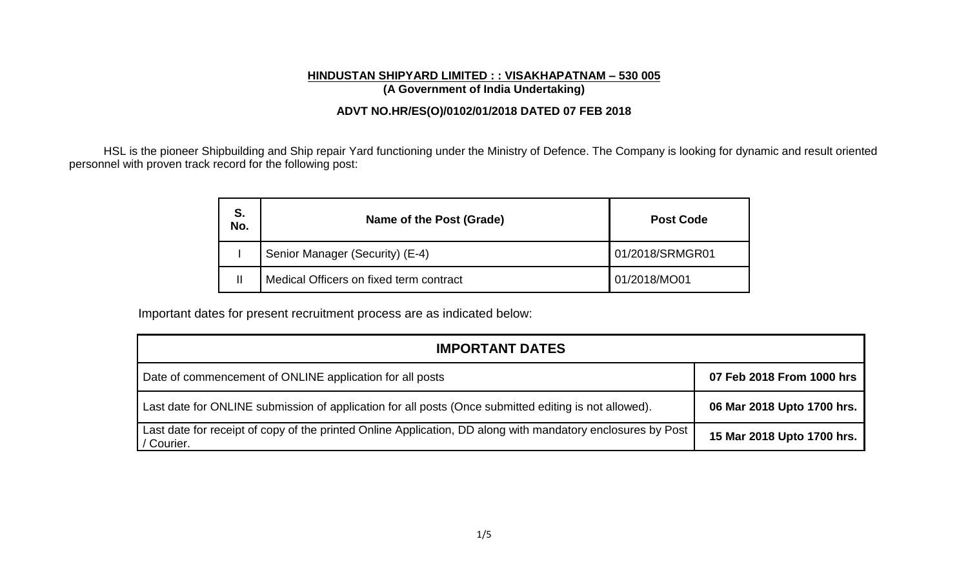### **HINDUSTAN SHIPYARD LIMITED : : VISAKHAPATNAM – 530 005 (A Government of India Undertaking)**

## **ADVT NO.HR/ES(O)/0102/01/2018 DATED 07 FEB 2018**

HSL is the pioneer Shipbuilding and Ship repair Yard functioning under the Ministry of Defence. The Company is looking for dynamic and result oriented personnel with proven track record for the following post:

| S.<br>No. | Name of the Post (Grade)                | <b>Post Code</b> |  |  |
|-----------|-----------------------------------------|------------------|--|--|
|           | Senior Manager (Security) (E-4)         | 01/2018/SRMGR01  |  |  |
|           | Medical Officers on fixed term contract | 01/2018/MO01     |  |  |

Important dates for present recruitment process are as indicated below:

| <b>IMPORTANT DATES</b>                                                                                                    |                            |  |  |  |  |  |
|---------------------------------------------------------------------------------------------------------------------------|----------------------------|--|--|--|--|--|
| Date of commencement of ONLINE application for all posts                                                                  | 07 Feb 2018 From 1000 hrs  |  |  |  |  |  |
| Last date for ONLINE submission of application for all posts (Once submitted editing is not allowed).                     | 06 Mar 2018 Upto 1700 hrs. |  |  |  |  |  |
| Last date for receipt of copy of the printed Online Application, DD along with mandatory enclosures by Post<br>/ Courier. | 15 Mar 2018 Upto 1700 hrs. |  |  |  |  |  |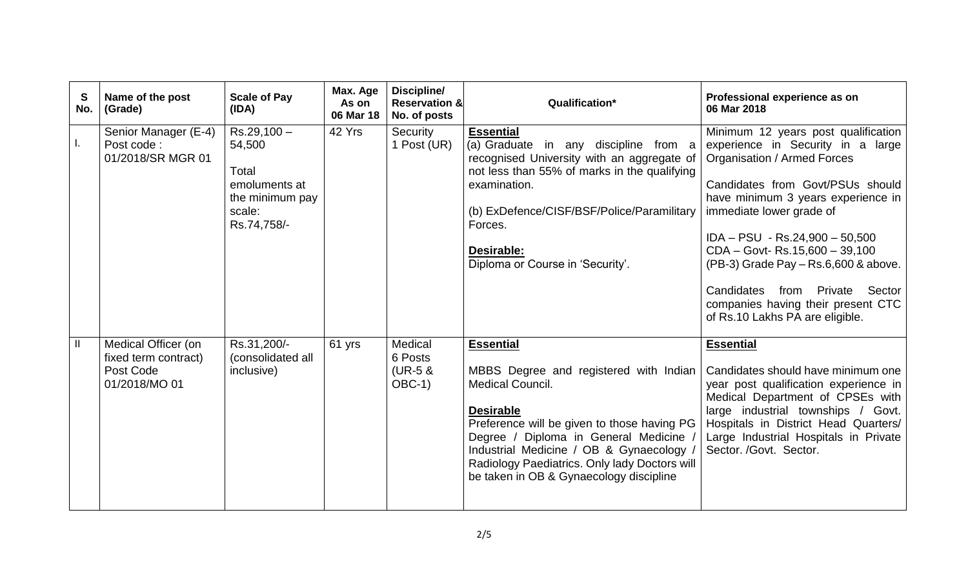| S<br>No.      | Name of the post<br>(Grade)                                               | <b>Scale of Pay</b><br>(IDA)                                                                 | Max. Age<br>As on<br>06 Mar 18 | Discipline/<br><b>Reservation &amp;</b><br>No. of posts | Qualification*                                                                                                                                                                                                                                                                                                                             | Professional experience as on<br>06 Mar 2018                                                                                                                                                                                                                                                                                                                                                                                                    |
|---------------|---------------------------------------------------------------------------|----------------------------------------------------------------------------------------------|--------------------------------|---------------------------------------------------------|--------------------------------------------------------------------------------------------------------------------------------------------------------------------------------------------------------------------------------------------------------------------------------------------------------------------------------------------|-------------------------------------------------------------------------------------------------------------------------------------------------------------------------------------------------------------------------------------------------------------------------------------------------------------------------------------------------------------------------------------------------------------------------------------------------|
| Ι.            | Senior Manager (E-4)<br>Post code:<br>01/2018/SR MGR 01                   | $Rs.29,100-$<br>54,500<br>Total<br>emoluments at<br>the minimum pay<br>scale:<br>Rs.74,758/- | 42 Yrs                         | Security<br>1 Post (UR)                                 | <b>Essential</b><br>(a) Graduate in any discipline from a<br>recognised University with an aggregate of<br>not less than 55% of marks in the qualifying<br>examination.<br>(b) ExDefence/CISF/BSF/Police/Paramilitary<br>Forces.<br>Desirable:<br>Diploma or Course in 'Security'.                                                         | Minimum 12 years post qualification<br>experience in Security in a large<br><b>Organisation / Armed Forces</b><br>Candidates from Govt/PSUs should<br>have minimum 3 years experience in<br>immediate lower grade of<br>$IDA - PSU - Rs.24,900 - 50,500$<br>CDA - Govt-Rs.15,600 - 39,100<br>(PB-3) Grade Pay - Rs.6,600 & above.<br>Candidates from Private<br>Sector<br>companies having their present CTC<br>of Rs.10 Lakhs PA are eligible. |
| $\mathbf{  }$ | Medical Officer (on<br>fixed term contract)<br>Post Code<br>01/2018/MO 01 | Rs.31,200/-<br>(consolidated all<br>inclusive)                                               | 61 yrs                         | Medical<br>6 Posts<br>$(UR-5 &$<br>$OBC-1)$             | <b>Essential</b><br>MBBS Degree and registered with Indian<br><b>Medical Council.</b><br><b>Desirable</b><br>Preference will be given to those having PG<br>Degree / Diploma in General Medicine /<br>Industrial Medicine / OB & Gynaecology /<br>Radiology Paediatrics. Only lady Doctors will<br>be taken in OB & Gynaecology discipline | <b>Essential</b><br>Candidates should have minimum one<br>year post qualification experience in<br>Medical Department of CPSEs with<br>large industrial townships / Govt.<br>Hospitals in District Head Quarters/<br>Large Industrial Hospitals in Private<br>Sector. /Govt. Sector.                                                                                                                                                            |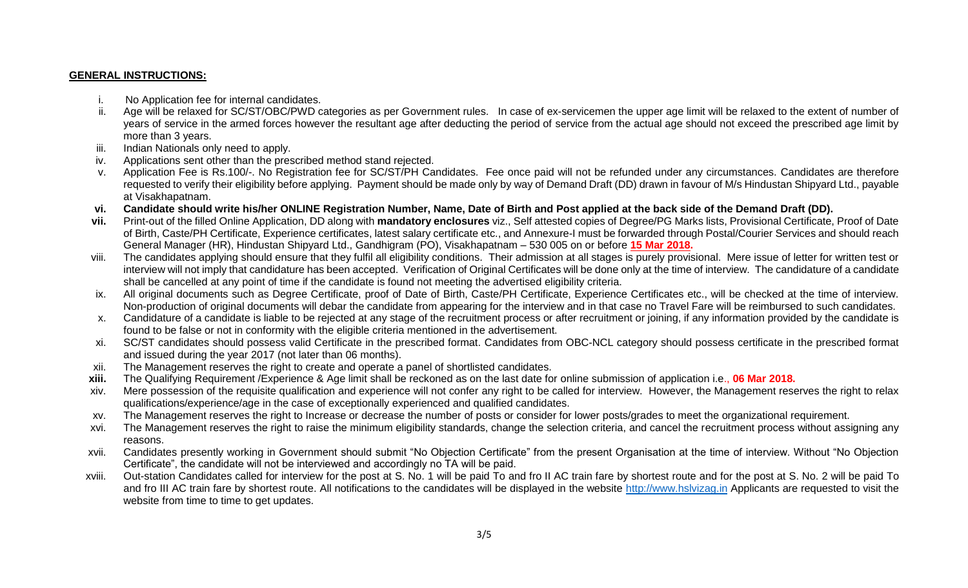#### **GENERAL INSTRUCTIONS:**

- i. No Application fee for internal candidates.
- ii. Age will be relaxed for SC/ST/OBC/PWD categories as per Government rules. In case of ex-servicemen the upper age limit will be relaxed to the extent of number of years of service in the armed forces however the resultant age after deducting the period of service from the actual age should not exceed the prescribed age limit by more than 3 years.
- iii. Indian Nationals only need to apply.
- iv. Applications sent other than the prescribed method stand rejected.
- v. Application Fee is Rs.100/-. No Registration fee for SC/ST/PH Candidates. Fee once paid will not be refunded under any circumstances. Candidates are therefore requested to verify their eligibility before applying. Payment should be made only by way of Demand Draft (DD) drawn in favour of M/s Hindustan Shipyard Ltd., payable at Visakhapatnam.
- **vi. Candidate should write his/her ONLINE Registration Number, Name, Date of Birth and Post applied at the back side of the Demand Draft (DD).**
- **vii.** Print-out of the filled Online Application, DD along with **mandatory enclosures** viz., Self attested copies of Degree/PG Marks lists, Provisional Certificate, Proof of Date of Birth, Caste/PH Certificate, Experience certificates, latest salary certificate etc., and Annexure-I must be forwarded through Postal/Courier Services and should reach General Manager (HR), Hindustan Shipyard Ltd., Gandhigram (PO), Visakhapatnam – 530 005 on or before **15 Mar 2018.**
- viii. The candidates applying should ensure that they fulfil all eligibility conditions. Their admission at all stages is purely provisional. Mere issue of letter for written test or interview will not imply that candidature has been accepted. Verification of Original Certificates will be done only at the time of interview. The candidature of a candidate shall be cancelled at any point of time if the candidate is found not meeting the advertised eligibility criteria.
- ix. All original documents such as Degree Certificate, proof of Date of Birth, Caste/PH Certificate, Experience Certificates etc., will be checked at the time of interview. Non-production of original documents will debar the candidate from appearing for the interview and in that case no Travel Fare will be reimbursed to such candidates.
- x. Candidature of a candidate is liable to be rejected at any stage of the recruitment process or after recruitment or joining, if any information provided by the candidate is found to be false or not in conformity with the eligible criteria mentioned in the advertisement.
- xi. SC/ST candidates should possess valid Certificate in the prescribed format. Candidates from OBC-NCL category should possess certificate in the prescribed format and issued during the year 2017 (not later than 06 months).
- xii. The Management reserves the right to create and operate a panel of shortlisted candidates.
- **xiii.** The Qualifying Requirement /Experience & Age limit shall be reckoned as on the last date for online submission of application i.e., **06 Mar 2018.**
- xiv. Mere possession of the requisite qualification and experience will not confer any right to be called for interview. However, the Management reserves the right to relax qualifications/experience/age in the case of exceptionally experienced and qualified candidates.
- xv. The Management reserves the right to Increase or decrease the number of posts or consider for lower posts/grades to meet the organizational requirement.
- xvi. The Management reserves the right to raise the minimum eligibility standards, change the selection criteria, and cancel the recruitment process without assigning any reasons.
- xvii. Candidates presently working in Government should submit "No Objection Certificate" from the present Organisation at the time of interview. Without "No Objection Certificate", the candidate will not be interviewed and accordingly no TA will be paid.
- xviii. Out-station Candidates called for interview for the post at S. No. 1 will be paid To and fro II AC train fare by shortest route and for the post at S. No. 2 will be paid To and fro III AC train fare by shortest route. All notifications to the candidates will be displayed in the website [http://www.hslvizag.in](http://www.hslvizag.in/) Applicants are requested to visit the website from time to time to get updates.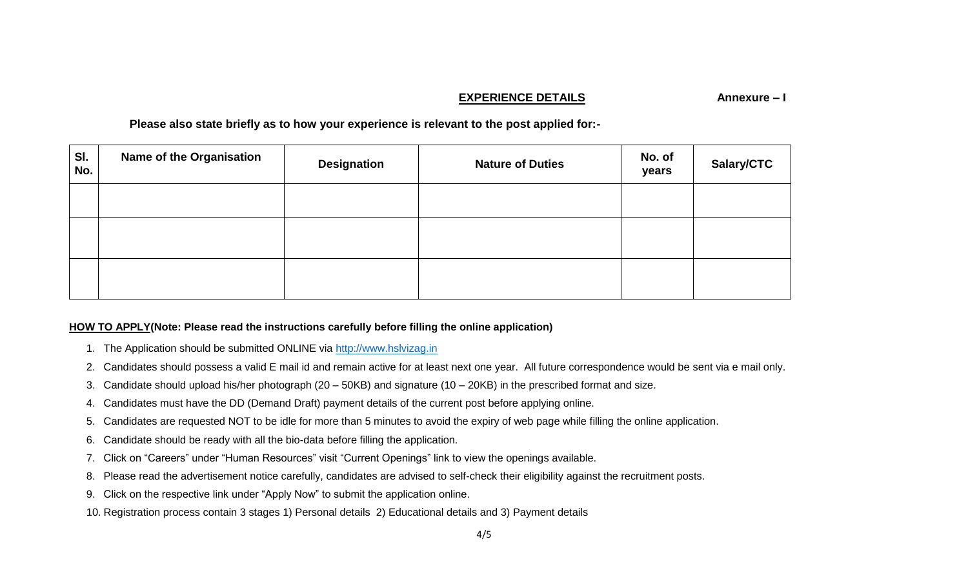## **EXPERIENCE DETAILS** Annexure – I

**Please also state briefly as to how your experience is relevant to the post applied for:-**

| SI.<br>No. | <b>Name of the Organisation</b> | <b>Designation</b> | <b>Nature of Duties</b> | No. of<br>years | Salary/CTC |
|------------|---------------------------------|--------------------|-------------------------|-----------------|------------|
|            |                                 |                    |                         |                 |            |
|            |                                 |                    |                         |                 |            |
|            |                                 |                    |                         |                 |            |

# **HOW TO APPLY(Note: Please read the instructions carefully before filling the online application)**

- 1. The Application should be submitted ONLINE via [http://www.hslvizag.in](http://www.hslvizag.in/)
- 2. Candidates should possess a valid E mail id and remain active for at least next one year. All future correspondence would be sent via e mail only.
- 3. Candidate should upload his/her photograph (20 50KB) and signature (10 20KB) in the prescribed format and size.
- 4. Candidates must have the DD (Demand Draft) payment details of the current post before applying online.
- 5. Candidates are requested NOT to be idle for more than 5 minutes to avoid the expiry of web page while filling the online application.
- 6. Candidate should be ready with all the bio-data before filling the application.
- 7. Click on "Careers" under "Human Resources" visit "Current Openings" link to view the openings available.
- 8. Please read the advertisement notice carefully, candidates are advised to self-check their eligibility against the recruitment posts.
- 9. Click on the respective link under "Apply Now" to submit the application online.
- 10. Registration process contain 3 stages 1) Personal details 2) Educational details and 3) Payment details